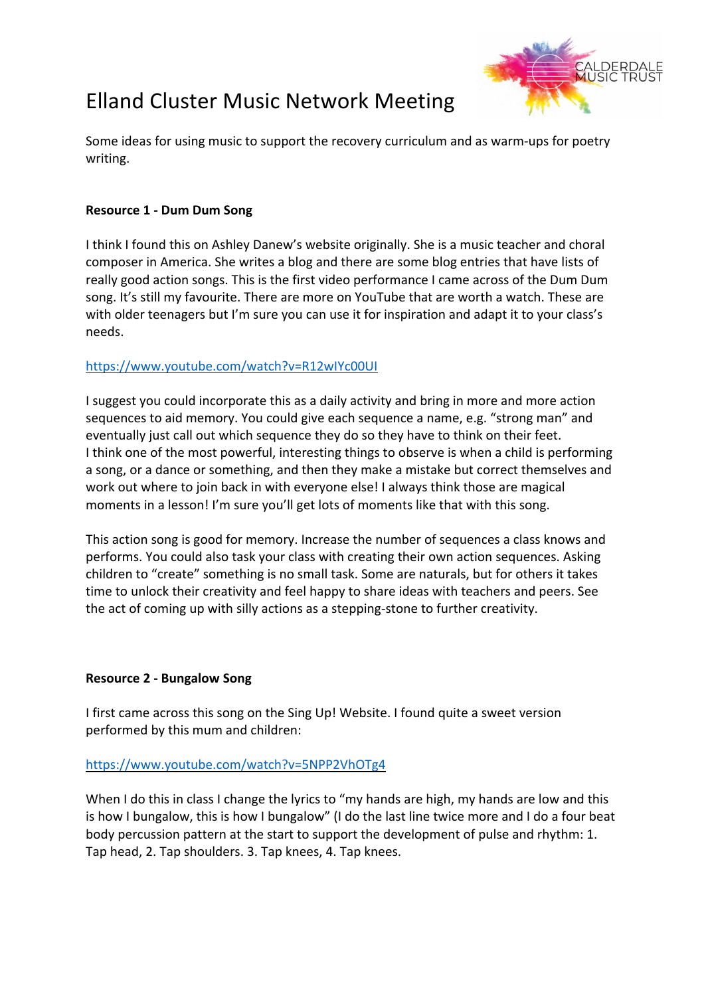# Elland Cluster Music Network Meeting



Some ideas for using music to support the recovery curriculum and as warm-ups for poetry writing.

# **Resource 1 - Dum Dum Song**

I think I found this on Ashley Danew's website originally. She is a music teacher and choral composer in America. She writes a blog and there are some blog entries that have lists of really good action songs. This is the first video performance I came across of the Dum Dum song. It's still my favourite. There are more on YouTube that are worth a watch. These are with older teenagers but I'm sure you can use it for inspiration and adapt it to your class's needs.

## https://www.youtube.com/watch?v=R12wIYc00UI

I suggest you could incorporate this as a daily activity and bring in more and more action sequences to aid memory. You could give each sequence a name, e.g. "strong man" and eventually just call out which sequence they do so they have to think on their feet. I think one of the most powerful, interesting things to observe is when a child is performing a song, or a dance or something, and then they make a mistake but correct themselves and work out where to join back in with everyone else! I always think those are magical moments in a lesson! I'm sure you'll get lots of moments like that with this song.

This action song is good for memory. Increase the number of sequences a class knows and performs. You could also task your class with creating their own action sequences. Asking children to "create" something is no small task. Some are naturals, but for others it takes time to unlock their creativity and feel happy to share ideas with teachers and peers. See the act of coming up with silly actions as a stepping-stone to further creativity.

#### **Resource 2 - Bungalow Song**

I first came across this song on the Sing Up! Website. I found quite a sweet version performed by this mum and children:

#### https://www.youtube.com/watch?v=5NPP2VhOTg4

When I do this in class I change the lyrics to "my hands are high, my hands are low and this is how I bungalow, this is how I bungalow" (I do the last line twice more and I do a four beat body percussion pattern at the start to support the development of pulse and rhythm: 1. Tap head, 2. Tap shoulders. 3. Tap knees, 4. Tap knees.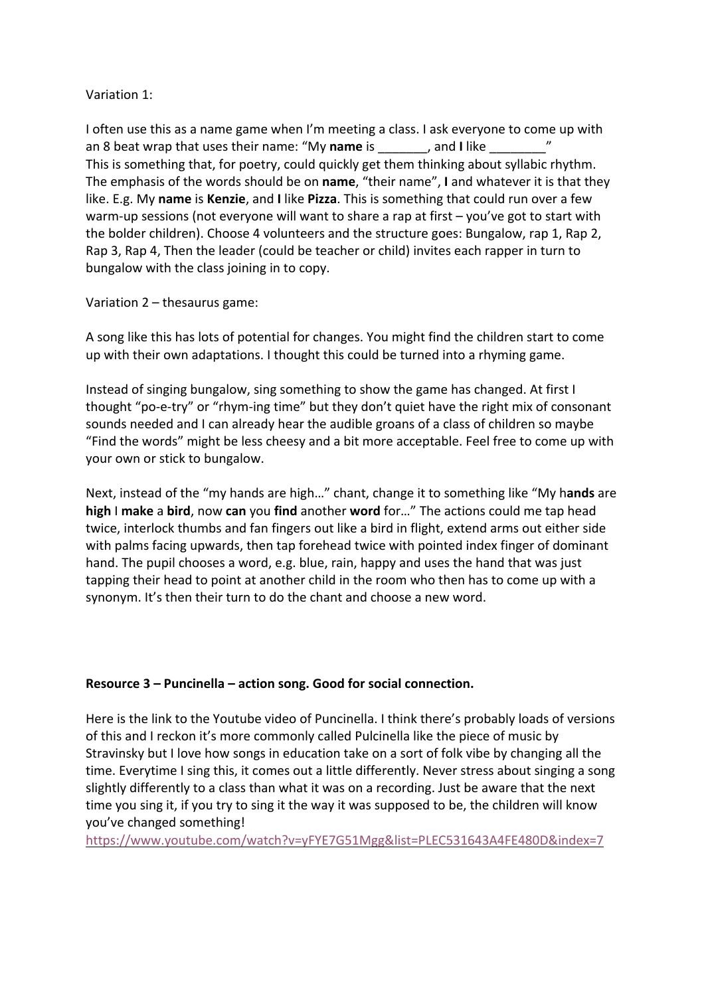## Variation 1:

I often use this as a name game when I'm meeting a class. I ask everyone to come up with an 8 beat wrap that uses their name: "My **name** is \_\_\_\_\_\_\_, and **I** like \_\_\_\_\_\_\_\_" This is something that, for poetry, could quickly get them thinking about syllabic rhythm. The emphasis of the words should be on **name**, "their name", **I** and whatever it is that they like. E.g. My **name** is **Kenzie**, and **I** like **Pizza**. This is something that could run over a few warm-up sessions (not everyone will want to share a rap at first – you've got to start with the bolder children). Choose 4 volunteers and the structure goes: Bungalow, rap 1, Rap 2, Rap 3, Rap 4, Then the leader (could be teacher or child) invites each rapper in turn to bungalow with the class joining in to copy.

## Variation 2 – thesaurus game:

A song like this has lots of potential for changes. You might find the children start to come up with their own adaptations. I thought this could be turned into a rhyming game.

Instead of singing bungalow, sing something to show the game has changed. At first I thought "po-e-try" or "rhym-ing time" but they don't quiet have the right mix of consonant sounds needed and I can already hear the audible groans of a class of children so maybe "Find the words" might be less cheesy and a bit more acceptable. Feel free to come up with your own or stick to bungalow.

Next, instead of the "my hands are high…" chant, change it to something like "My h**ands** are **high** I **make** a **bird**, now **can** you **find** another **word** for…" The actions could me tap head twice, interlock thumbs and fan fingers out like a bird in flight, extend arms out either side with palms facing upwards, then tap forehead twice with pointed index finger of dominant hand. The pupil chooses a word, e.g. blue, rain, happy and uses the hand that was just tapping their head to point at another child in the room who then has to come up with a synonym. It's then their turn to do the chant and choose a new word.

# **Resource 3 – Puncinella – action song. Good for social connection.**

Here is the link to the Youtube video of Puncinella. I think there's probably loads of versions of this and I reckon it's more commonly called Pulcinella like the piece of music by Stravinsky but I love how songs in education take on a sort of folk vibe by changing all the time. Everytime I sing this, it comes out a little differently. Never stress about singing a song slightly differently to a class than what it was on a recording. Just be aware that the next time you sing it, if you try to sing it the way it was supposed to be, the children will know you've changed something!

https://www.youtube.com/watch?v=yFYE7G51Mgg&list=PLEC531643A4FE480D&index=7